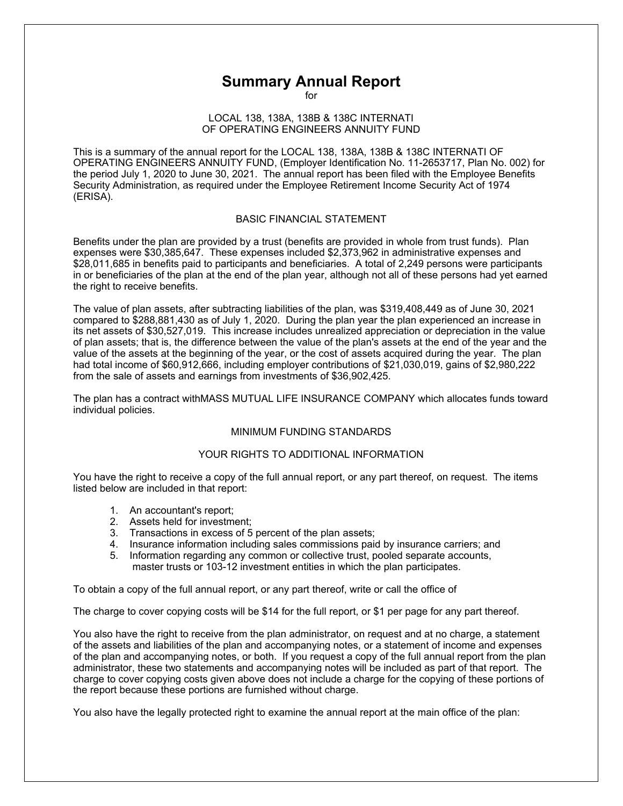# **Summary Annual Report**

for

## LOCAL 138, 138A, 138B & 138C INTERNATI OF OPERATING ENGINEERS ANNUITY FUND

This is a summary of the annual report for the LOCAL 138, 138A, 138B & 138C INTERNATI OF OPERATING ENGINEERS ANNUITY FUND, (Employer Identification No. 11-2653717, Plan No. 002) for the period July 1, 2020 to June 30, 2021. The annual report has been filed with the Employee Benefits Security Administration, as required under the Employee Retirement Income Security Act of 1974 (ERISA).

## BASIC FINANCIAL STATEMENT

Benefits under the plan are provided by a trust (benefits are provided in whole from trust funds). Plan expenses were \$30,385,647. These expenses included \$2,373,962 in administrative expenses and \$28,011,685 in benefits paid to participants and beneficiaries. A total of 2,249 persons were participants in or beneficiaries of the plan at the end of the plan year, although not all of these persons had yet earned the right to receive benefits.

The value of plan assets, after subtracting liabilities of the plan, was \$319,408,449 as of June 30, 2021 compared to \$288,881,430 as of July 1, 2020. During the plan year the plan experienced an increase in its net assets of \$30,527,019. This increase includes unrealized appreciation or depreciation in the value of plan assets; that is, the difference between the value of the plan's assets at the end of the year and the value of the assets at the beginning of the year, or the cost of assets acquired during the year. The plan had total income of \$60,912,666, including employer contributions of \$21,030,019, gains of \$2,980,222 from the sale of assets and earnings from investments of \$36,902,425.

The plan has a contract withMASS MUTUAL LIFE INSURANCE COMPANY which allocates funds toward individual policies.

# MINIMUM FUNDING STANDARDS

## YOUR RIGHTS TO ADDITIONAL INFORMATION

You have the right to receive a copy of the full annual report, or any part thereof, on request. The items listed below are included in that report:

- 1. An accountant's report;
- 2. Assets held for investment;
- 3. Transactions in excess of 5 percent of the plan assets;
- 4. Insurance information including sales commissions paid by insurance carriers; and
- 5. Information regarding any common or collective trust, pooled separate accounts, master trusts or 103-12 investment entities in which the plan participates.

To obtain a copy of the full annual report, or any part thereof, write or call the office of

The charge to cover copying costs will be \$14 for the full report, or \$1 per page for any part thereof.

You also have the right to receive from the plan administrator, on request and at no charge, a statement of the assets and liabilities of the plan and accompanying notes, or a statement of income and expenses of the plan and accompanying notes, or both. If you request a copy of the full annual report from the plan administrator, these two statements and accompanying notes will be included as part of that report. The charge to cover copying costs given above does not include a charge for the copying of these portions of the report because these portions are furnished without charge.

You also have the legally protected right to examine the annual report at the main office of the plan: